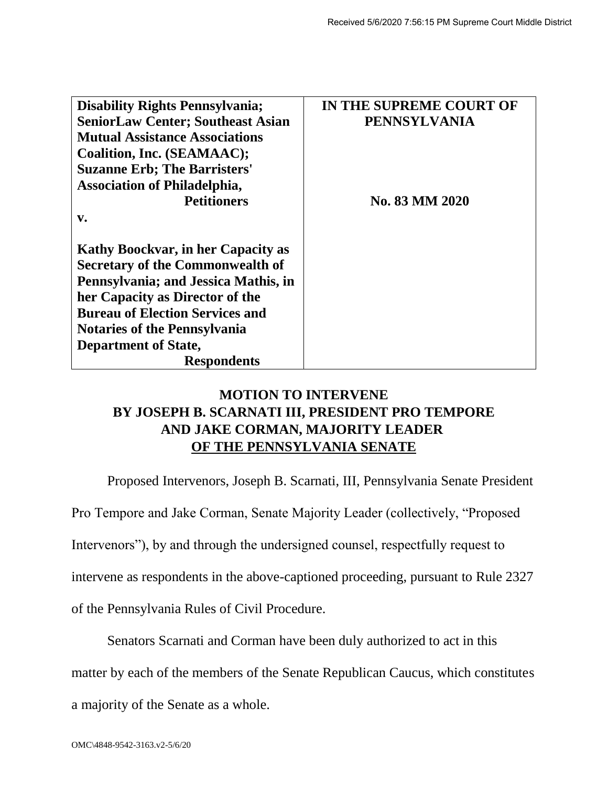| <b>Disability Rights Pennsylvania;</b>   | IN THE SUPREME COURT OF |
|------------------------------------------|-------------------------|
| <b>SeniorLaw Center; Southeast Asian</b> | <b>PENNSYLVANIA</b>     |
| <b>Mutual Assistance Associations</b>    |                         |
| Coalition, Inc. (SEAMAAC);               |                         |
| <b>Suzanne Erb; The Barristers'</b>      |                         |
| <b>Association of Philadelphia,</b>      |                         |
| <b>Petitioners</b>                       | No. 83 MM 2020          |
| $\mathbf{v}$ .                           |                         |
|                                          |                         |
| Kathy Boockvar, in her Capacity as       |                         |
| <b>Secretary of the Commonwealth of</b>  |                         |
| Pennsylvania; and Jessica Mathis, in     |                         |
| her Capacity as Director of the          |                         |
| <b>Bureau of Election Services and</b>   |                         |
| <b>Notaries of the Pennsylvania</b>      |                         |
| <b>Department of State,</b>              |                         |
| <b>Respondents</b>                       |                         |

## **MOTION TO INTERVENE BY JOSEPH B. SCARNATI III, PRESIDENT PRO TEMPORE AND JAKE CORMAN, MAJORITY LEADER OF THE PENNSYLVANIA SENATE**

Proposed Intervenors, Joseph B. Scarnati, III, Pennsylvania Senate President

Pro Tempore and Jake Corman, Senate Majority Leader (collectively, "Proposed

Intervenors"), by and through the undersigned counsel, respectfully request to

intervene as respondents in the above-captioned proceeding, pursuant to Rule 2327

of the Pennsylvania Rules of Civil Procedure.

Senators Scarnati and Corman have been duly authorized to act in this

matter by each of the members of the Senate Republican Caucus, which constitutes

a majority of the Senate as a whole.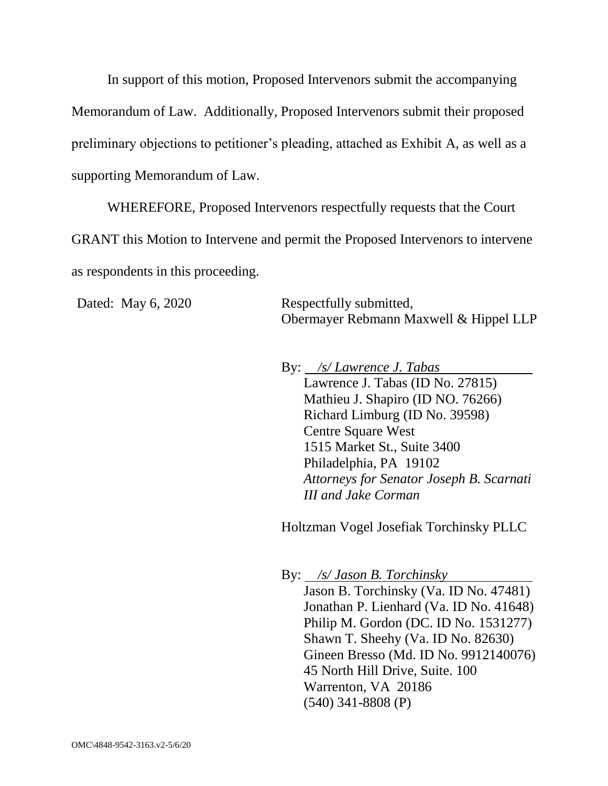In support of this motion, Proposed Intervenors submit the accompanying Memorandum of Law. Additionally, Proposed Intervenors submit their proposed preliminary objections to petitioner's pleading, attached as Exhibit A, as well as a supporting Memorandum of Law.

WHEREFORE, Proposed Intervenors respectfully requests that the Court GRANT this Motion to Intervene and permit the Proposed Intervenors to intervene as respondents in this proceeding.

Dated: May 6, 2020 Respectfully submitted, Obermayer Rebmann Maxwell & Hippel LLP

By: */s/ Lawrence J. Tabas* 

Lawrence J. Tabas (ID No. 27815) Mathieu J. Shapiro (ID NO. 76266) Richard Limburg (ID No. 39598) Centre Square West 1515 Market St., Suite 3400 Philadelphia, PA 19102 *Attorneys for Senator Joseph B. Scarnati III and Jake Corman*

Holtzman Vogel Josefiak Torchinsky PLLC

By: */s/ Jason B. Torchinsky* Jason B. Torchinsky (Va. ID No. 47481) Jonathan P. Lienhard (Va. ID No. 41648) Philip M. Gordon (DC. ID No. 1531277) Shawn T. Sheehy (Va. ID No. 82630) Gineen Bresso (Md. ID No. 9912140076) 45 North Hill Drive, Suite. 100 Warrenton, VA 20186 [\(540\) 341-8808](tel:(540)%20341-8808) (P)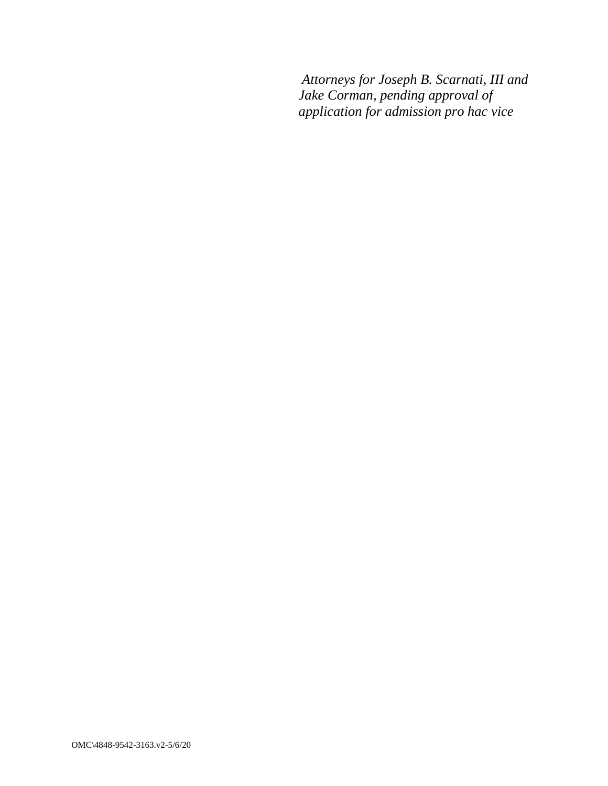*Attorneys for Joseph B. Scarnati, III and Jake Corman, pending approval of application for admission pro hac vice*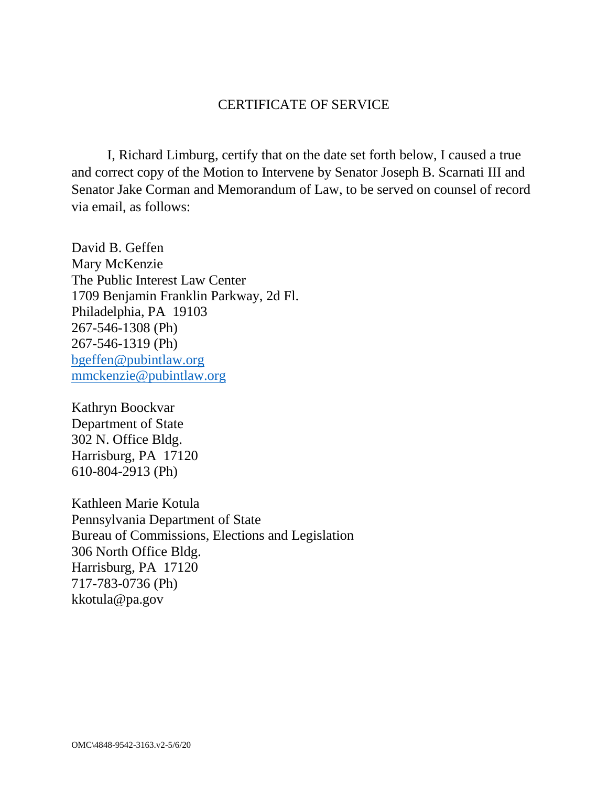## CERTIFICATE OF SERVICE

I, Richard Limburg, certify that on the date set forth below, I caused a true and correct copy of the Motion to Intervene by Senator Joseph B. Scarnati III and Senator Jake Corman and Memorandum of Law, to be served on counsel of record via email, as follows:

David B. Geffen Mary McKenzie The Public Interest Law Center 1709 Benjamin Franklin Parkway, 2d Fl. Philadelphia, PA 19103 267-546-1308 (Ph) 267-546-1319 (Ph) [bgeffen@pubintlaw.org](mailto:bgeffen@pubintlaw.org) [mmckenzie@pubintlaw.org](mailto:mmckenzie@pubintlaw.org)

Kathryn Boockvar Department of State 302 N. Office Bldg. Harrisburg, PA 17120 610-804-2913 (Ph)

Kathleen Marie Kotula Pennsylvania Department of State Bureau of Commissions, Elections and Legislation 306 North Office Bldg. Harrisburg, PA 17120 717-783-0736 (Ph) kkotula@pa.gov